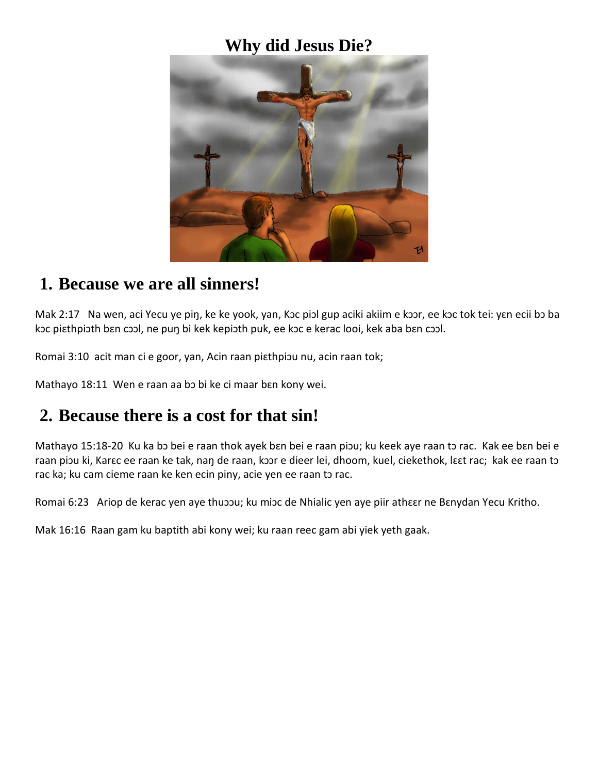### **Why did Jesus Die?**



#### **1. Because we are all sinners!**

Mak 2:17 Na wen, aci Yecu ye piŋ, ke ke yook, yan, Kɔc piɔl gup aciki akiim e kɔɔr, ee kɔc tok tei: yɛn ecii bɔ ba kɔc piɛthpiɔth bɛn cɔɔl, ne puŋ bi kek kepiɔth puk, ee kɔc e kerac looi, kek aba bɛn cɔɔl.

Romai 3:10 acit man ci e goor, yan, Acin raan piɛthpiɔu nu, acin raan tok;

Mathayo 18:11 Wen e raan aa bɔ bi ke ci maar bɛn kony wei.

## **2. Because there is a cost for that sin!**

Mathayo 15:18-20 Ku ka bɔ bei e raan thok ayek bɛn bei e raan piɔu; ku keek aye raan tɔ rac. Kak ee bɛn bei e raan piɔu ki, Karɛc ee raan ke tak, naŋ de raan, kɔɔr e dieer lei, dhoom, kuel, ciekethok, lɛɛt rac; kak ee raan tɔ rac ka; ku cam cieme raan ke ken ecin piny, acie yen ee raan tɔ rac.

Romai 6:23 Ariop de kerac yen aye thuoou; ku mioc de Nhialic yen aye piir atheer ne Benydan Yecu Kritho.

Mak 16:16 Raan gam ku baptith abi kony wei; ku raan reec gam abi yiek yeth gaak.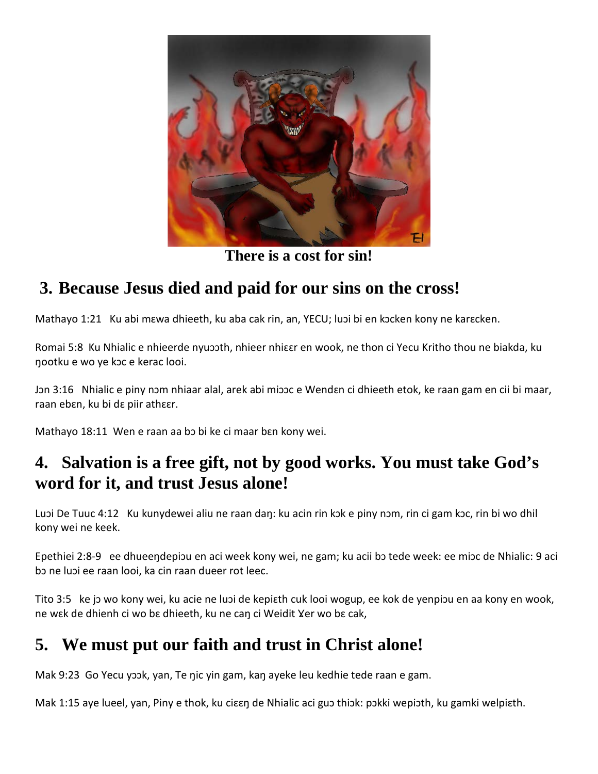

**There is a cost for sin!**

# **3. Because Jesus died and paid for our sins on the cross!**

Mathayo 1:21 Ku abi mɛwa dhieeth, ku aba cak rin, an, YECU; luɔi bi en kɔcken kony ne karɛcken.

Romai 5:8 Ku Nhialic e nhieerde nyuɔɔth, nhieer nhiɛɛr en wook, ne thon ci Yecu Kritho thou ne biakda, ku ŋootku e wo ye kɔc e kerac looi.

Jɔn 3:16 Nhialic e piny nɔm nhiaar alal, arek abi miɔɔc e Wendɛn ci dhieeth etok, ke raan gam en cii bi maar, raan ebɛn, ku bi dɛ piir athɛɛr.

Mathayo 18:11 Wen e raan aa bɔ bi ke ci maar bɛn kony wei.

## **4. Salvation is a free gift, not by good works. You must take God's word for it, and trust Jesus alone!**

Luɔi De Tuuc 4:12 Ku kunydewei aliu ne raan daŋ: ku acin rin kɔk e piny nɔm, rin ci gam kɔc, rin bi wo dhil kony wei ne keek.

Epethiei 2:8-9 ee dhueeŋdepiɔu en aci week kony wei, ne gam; ku acii bɔ tede week: ee miɔc de Nhialic: 9 aci bɔ ne luɔi ee raan looi, ka cin raan dueer rot leec.

Tito 3:5 ke jɔ wo kony wei, ku acie ne luɔi de kepiɛth cuk looi wogup, ee kok de yenpiɔu en aa kony en wook, ne wɛk de dhienh ci wo bɛ dhieeth, ku ne can ci Weidit Yer wo bɛ cak,

## **5. We must put our faith and trust in Christ alone!**

Mak 9:23 Go Yecu yɔɔk, yan, Te ŋic yin gam, kaŋ ayeke leu kedhie tede raan e gam.

Mak 1:15 aye lueel, yan, Piny e thok, ku ciεεη de Nhialic aci guo thiok: pokki wepioth, ku gamki welpiεth.